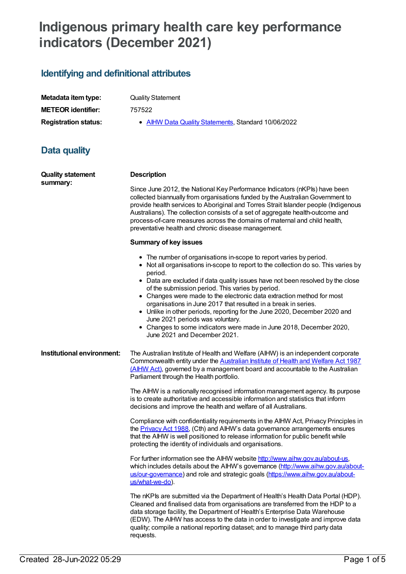# **Indigenous primary health care key performance indicators (December 2021)**

## **Identifying and definitional attributes**

| Metadata item type:         |
|-----------------------------|
| <b>METEOR identifier:</b>   |
| <b>Registration status:</b> |

**Quality Statement** 

**METEOR identifier:** 757522

**• AIHW Data Quality [Statements](https://meteor.aihw.gov.au/RegistrationAuthority/5), Standard 10/06/2022** 

### **Data quality**

| <b>Quality statement</b><br>summary: | <b>Description</b>                                                                                                                                                                                                                                                                                                                                                                                                                                                                                                                                                                                                                                                           |
|--------------------------------------|------------------------------------------------------------------------------------------------------------------------------------------------------------------------------------------------------------------------------------------------------------------------------------------------------------------------------------------------------------------------------------------------------------------------------------------------------------------------------------------------------------------------------------------------------------------------------------------------------------------------------------------------------------------------------|
|                                      | Since June 2012, the National Key Performance Indicators (nKPIs) have been<br>collected biannually from organisations funded by the Australian Government to<br>provide health services to Aboriginal and Torres Strait Islander people (Indigenous<br>Australians). The collection consists of a set of aggregate health-outcome and<br>process-of-care measures across the domains of maternal and child health,<br>preventative health and chronic disease management.                                                                                                                                                                                                    |
|                                      | <b>Summary of key issues</b>                                                                                                                                                                                                                                                                                                                                                                                                                                                                                                                                                                                                                                                 |
|                                      | • The number of organisations in-scope to report varies by period.<br>• Not all organisations in-scope to report to the collection do so. This varies by<br>period.<br>• Data are excluded if data quality issues have not been resolved by the close<br>of the submission period. This varies by period.<br>• Changes were made to the electronic data extraction method for most<br>organisations in June 2017 that resulted in a break in series.<br>• Unlike in other periods, reporting for the June 2020, December 2020 and<br>June 2021 periods was voluntary.<br>• Changes to some indicators were made in June 2018, December 2020,<br>June 2021 and December 2021. |
| Institutional environment:           | The Australian Institute of Health and Welfare (AIHW) is an independent corporate<br>Commonwealth entity under the Australian Institute of Health and Welfare Act 1987<br>(AlHW Act), governed by a management board and accountable to the Australian<br>Parliament through the Health portfolio.                                                                                                                                                                                                                                                                                                                                                                           |
|                                      | The AIHW is a nationally recognised information management agency. Its purpose<br>is to create authoritative and accessible information and statistics that inform<br>decisions and improve the health and welfare of all Australians.                                                                                                                                                                                                                                                                                                                                                                                                                                       |
|                                      | Compliance with confidentiality requirements in the AIHW Act, Privacy Principles in<br>the <b>Privacy Act 1988</b> , (Cth) and AIHW's data governance arrangements ensures<br>that the AIHW is well positioned to release information for public benefit while<br>protecting the identity of individuals and organisations.                                                                                                                                                                                                                                                                                                                                                  |
|                                      | For further information see the AIHW website http://www.aihw.gov.au/about-us,<br>which includes details about the AIHW's governance (http://www.aihw.gov.au/about-<br>us/our-governance) and role and strategic goals (https://www.aihw.gov.au/about-<br>us/what-we-do).                                                                                                                                                                                                                                                                                                                                                                                                     |
|                                      | The nKPIs are submitted via the Department of Health's Health Data Portal (HDP).<br>Cleaned and finalised data from organisations are transferred from the HDP to a<br>data storage facility, the Department of Health's Enterprise Data Warehouse<br>(EDW). The AIHW has access to the data in order to investigate and improve data<br>quality; compile a national reporting dataset; and to manage third party data                                                                                                                                                                                                                                                       |

requests.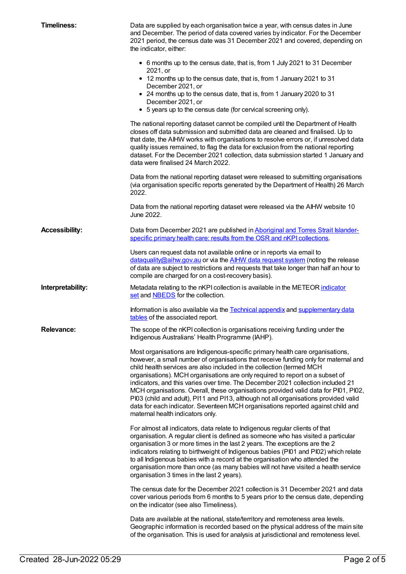| <b>Timeliness:</b>    | Data are supplied by each organisation twice a year, with census dates in June<br>and December. The period of data covered varies by indicator. For the December<br>2021 period, the census date was 31 December 2021 and covered, depending on<br>the indicator, either:                                                                                                                                                                                                                                                                                                                                                                                                                                              |
|-----------------------|------------------------------------------------------------------------------------------------------------------------------------------------------------------------------------------------------------------------------------------------------------------------------------------------------------------------------------------------------------------------------------------------------------------------------------------------------------------------------------------------------------------------------------------------------------------------------------------------------------------------------------------------------------------------------------------------------------------------|
|                       | • 6 months up to the census date, that is, from 1 July 2021 to 31 December<br>2021, or                                                                                                                                                                                                                                                                                                                                                                                                                                                                                                                                                                                                                                 |
|                       | • 12 months up to the census date, that is, from 1 January 2021 to 31<br>December 2021, or                                                                                                                                                                                                                                                                                                                                                                                                                                                                                                                                                                                                                             |
|                       | • 24 months up to the census date, that is, from 1 January 2020 to 31<br>December 2021, or                                                                                                                                                                                                                                                                                                                                                                                                                                                                                                                                                                                                                             |
|                       | • 5 years up to the census date (for cervical screening only).                                                                                                                                                                                                                                                                                                                                                                                                                                                                                                                                                                                                                                                         |
|                       | The national reporting dataset cannot be compiled until the Department of Health<br>closes off data submission and submitted data are cleaned and finalised. Up to<br>that date, the AIHW works with organisations to resolve errors or, if unresolved data<br>quality issues remained, to flag the data for exclusion from the national reporting<br>dataset. For the December 2021 collection, data submission started 1 January and<br>data were finalised 24 March 2022.                                                                                                                                                                                                                                           |
|                       | Data from the national reporting dataset were released to submitting organisations<br>(via organisation specific reports generated by the Department of Health) 26 March<br>2022.                                                                                                                                                                                                                                                                                                                                                                                                                                                                                                                                      |
|                       | Data from the national reporting dataset were released via the AIHW website 10<br>June 2022.                                                                                                                                                                                                                                                                                                                                                                                                                                                                                                                                                                                                                           |
| <b>Accessibility:</b> | Data from December 2021 are published in Aboriginal and Torres Strait Islander-<br>specific primary health care: results from the OSR and nKPI collections.                                                                                                                                                                                                                                                                                                                                                                                                                                                                                                                                                            |
|                       | Users can request data not available online or in reports via email to<br>dataquality@aihw.gov.au or via the AIHW data request system (noting the release<br>of data are subject to restrictions and requests that take longer than half an hour to<br>compile are charged for on a cost-recovery basis).                                                                                                                                                                                                                                                                                                                                                                                                              |
| Interpretability:     | Metadata relating to the nKPI collection is available in the METEOR indicator<br>set and <b>NBEDS</b> for the collection.                                                                                                                                                                                                                                                                                                                                                                                                                                                                                                                                                                                              |
|                       | Information is also available via the Technical appendix and supplementary data<br>tables of the associated report.                                                                                                                                                                                                                                                                                                                                                                                                                                                                                                                                                                                                    |
| <b>Relevance:</b>     | The scope of the nKPI collection is organisations receiving funding under the<br>Indigenous Australians' Health Programme (IAHP).                                                                                                                                                                                                                                                                                                                                                                                                                                                                                                                                                                                      |
|                       | Most organisations are Indigenous-specific primary health care organisations,<br>however, a small number of organisations that receive funding only for maternal and<br>child health services are also included in the collection (termed MCH<br>organisations). MCH organisations are only required to report on a subset of<br>indicators, and this varies over time. The December 2021 collection included 21<br>MCH organisations. Overall, these organisations provided valid data for PI01, PI02,<br>PI03 (child and adult), PI11 and PI13, although not all organisations provided valid<br>data for each indicator. Seventeen MCH organisations reported against child and<br>maternal health indicators only. |
|                       | For almost all indicators, data relate to Indigenous regular clients of that<br>organisation. A regular client is defined as someone who has visited a particular<br>organisation 3 or more times in the last 2 years. The exceptions are the 2<br>indicators relating to birthweight of Indigenous babies (PI01 and PI02) which relate<br>to all Indigenous babies with a record at the organisation who attended the<br>organisation more than once (as many babies will not have visited a health service<br>organisation 3 times in the last 2 years).                                                                                                                                                             |
|                       | The census date for the December 2021 collection is 31 December 2021 and data<br>cover various periods from 6 months to 5 years prior to the census date, depending<br>on the indicator (see also Timeliness).                                                                                                                                                                                                                                                                                                                                                                                                                                                                                                         |
|                       | Data are available at the national, state/territory and remoteness area levels.<br>Geographic information is recorded based on the physical address of the main site<br>of the organisation. This is used for analysis at jurisdictional and remoteness level.                                                                                                                                                                                                                                                                                                                                                                                                                                                         |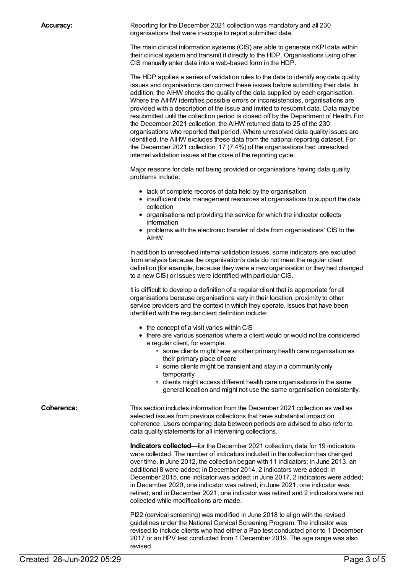**Accuracy:** Reporting for the December 2021 collection was mandatory and all 230 organisations that were in-scope to report submitted data.

> The main clinical information systems (CIS) are able to generate nKPI data within their clinical system and transmit it directly to the HDP. Organisations using other CIS manually enter data into a web-based form in the HDP.

The HDP applies a series of validation rules to the data to identify any data quality issues and organisations can correct these issues before submitting their data. In addition, the AIHW checks the quality of the data supplied by each organisation. Where the AIHW identifies possible errors or inconsistencies, organisations are provided with a description of the issue and invited to resubmit data. Data may be resubmitted until the collection period is closed off by the Department of Health. For the December 2021 collection, the AIHW returned data to 25 of the 230 organisations who reported that period. Where unresolved data quality issues are identified, the AIHW excludes these data from the national reporting dataset. For the December 2021 collection, 17 (7.4%) of the organisations had unresolved internal validation issues at the close of the reporting cycle.

Major reasons for data not being provided or organisations having data quality problems include:

- lack of complete records of data held by the organisation
- insufficient data management resources at organisations to support the data collection
- organisations not providing the service for which the indicator collects information
- problems with the electronic transfer of data from organisations' CIS to the AIHW.

In addition to unresolved internal validation issues, some indicators are excluded from analysis because the organisation's data do not meet the regular client definition (for example, because they were a new organisation or they had changed to a new CIS) or issues were identified with particular CIS.

It is difficult to develop a definition of a regular client that is appropriate for all organisations because organisations vary in their location, proximity to other service providers and the context in which they operate. Issues that have been identified with the regular client definition include:

- the concept of a visit varies within CIS
- there are various scenarios where a client would or would not be considered a regular client, for example:
	- o some clients might have another primary health care organisation as their primary place of care
	- o some clients might be transient and stay in a community only temporarily
	- o clients might access different health care organisations in the same general location and might not use the same organisation consistently.

**Coherence:** This section includes information from the December 2021 collection as well as selected issues from previous collections that have substantial impact on coherence. Users comparing data between periods are advised to also refer to data quality statements for all intervening collections.

> **Indicators collected**—for the December 2021 collection, data for 19 indicators were collected. The number of indicators included in the collection has changed over time. In June 2012, the collection began with 11 indicators; in June 2013, an additional 8 were added; in December 2014, 2 indicators were added; in December 2015, one indicator was added; in June 2017, 2 indicators were added; in December 2020, one indicator was retired; in June 2021, one indicator was retired; and in December 2021, one indicator was retired and 2 indicators were not collected while modifications are made.

> PI22 (cervical screening) was modified in June 2018 to align with the revised guidelines under the National Cervical Screening Program. The indicator was revised to include clients who had either a Pap test conducted prior to 1 December 2017 or an HPV test conducted from 1 December 2019. The age range was also revised.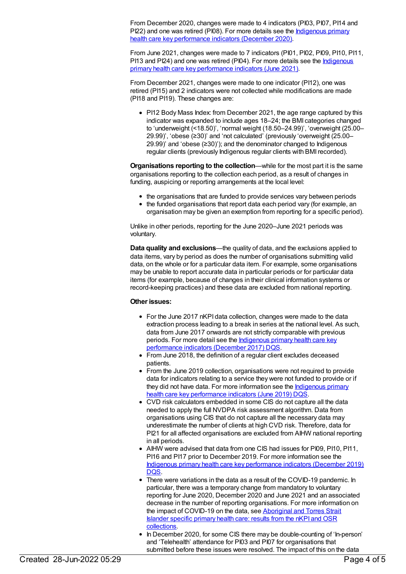From December 2020, changes were made to 4 indicators (PI03, PI07, PI14 and PI22) and one was retired (PI08). For more details see the **Indigenous primary** health care key [performance](file:///content/747924) indicators (December 2020).

From June 2021, changes were made to 7 indicators (PI01, PI02, PI09, PI10, PI11, PI13 and PI24) and one was retired (PI04). For more details see the Indigenous primary health care key [performance](file:///content/752838) indicators (June 2021).

From December 2021, changes were made to one indicator (PI12), one was retired (PI15) and 2 indicators were not collected while modifications are made (PI18 and PI19). These changes are:

• PI12 Body Mass Index: from December 2021, the age range captured by this indicator was expanded to include ages 18–24; the BMI categories changed to 'underweight (<18.50)', 'normal weight (18.50–24.99)', 'overweight (25.00– 29.99)', 'obese (≥30)' and 'not calculated' (previously 'overweight (25.00– 29.99)' and 'obese (≥30)'); and the denominator changed to Indigenous regular clients (previously Indigenous regular clients with BMI recorded).

**Organisations reporting to the collection**—while for the most part it is the same organisations reporting to the collection each period, as a result of changes in funding, auspicing or reporting arrangements at the local level:

- the organisations that are funded to provide services vary between periods
- the funded organisations that report data each period vary (for example, an organisation may be given an exemption from reporting for a specific period).

Unlike in other periods, reporting for the June 2020–June 2021 periods was voluntary.

**Data quality and exclusions**—the quality of data, and the exclusions applied to data items, vary by period as does the number of organisations submitting valid data, on the whole or for a particular data item. For example, some organisations may be unable to report accurate data in particular periods or for particular data items (for example, because of changes in their clinical information systems or record-keeping practices) and these data are excluded from national reporting.

#### **Other issues:**

- For the June 2017 nKPI data collection, changes were made to the data extraction process leading to a break in series at the national level. As such, data from June 2017 onwards are not strictly comparable with previous periods. For more detail see the [Indigenous](file:///content/706629) primary health care key performance indicators (December 2017) DQS.
- From June 2018, the definition of a regular client excludes deceased patients.
- From the June 2019 collection, organisations were not required to provide data for indicators relating to a service they were not funded to provide or if they did not have data. For more [information](file:///content/743387) see the Indigenous primary health care key performance indicators (June 2019) DQS.
- CVD risk calculators embedded in some CIS do not capture all the data needed to apply the full NVDPA risk assessment algorithm. Data from organisations using CIS that do not capture all the necessary data may underestimate the number of clients at high CVD risk. Therefore, data for PI21 for all affected organisations are excluded from AIHW national reporting in all periods.
- AIHW were advised that data from one CIS had issues for PI09, PI10, PI11, PI16 and PI17 prior to December 2019. For more information see the Indigenous primary health care key [performance](file:///content/743402) indicators (December 2019) DQS.
- There were variations in the data as a result of the COVID-19 pandemic. In particular, there was a temporary change from mandatory to voluntary reporting for June 2020, December 2020 and June 2021 and an associated decrease in the number of reporting organisations. For more information on the impact of [COVID-19](https://www.aihw.gov.au/reports/indigenous-australians/indigenous-primary-health-care-results-osr-nkpi/contents/about) on the data, see Aboriginal and Torres Strait Islander specific primary health care: results from the nKPI and OSR collections.
- In December 2020, for some CIS there may be double-counting of 'In-person' and 'Telehealth' attendance for PI03 and PI07 for organisations that submitted before these issues were resolved. The impact of this on the data